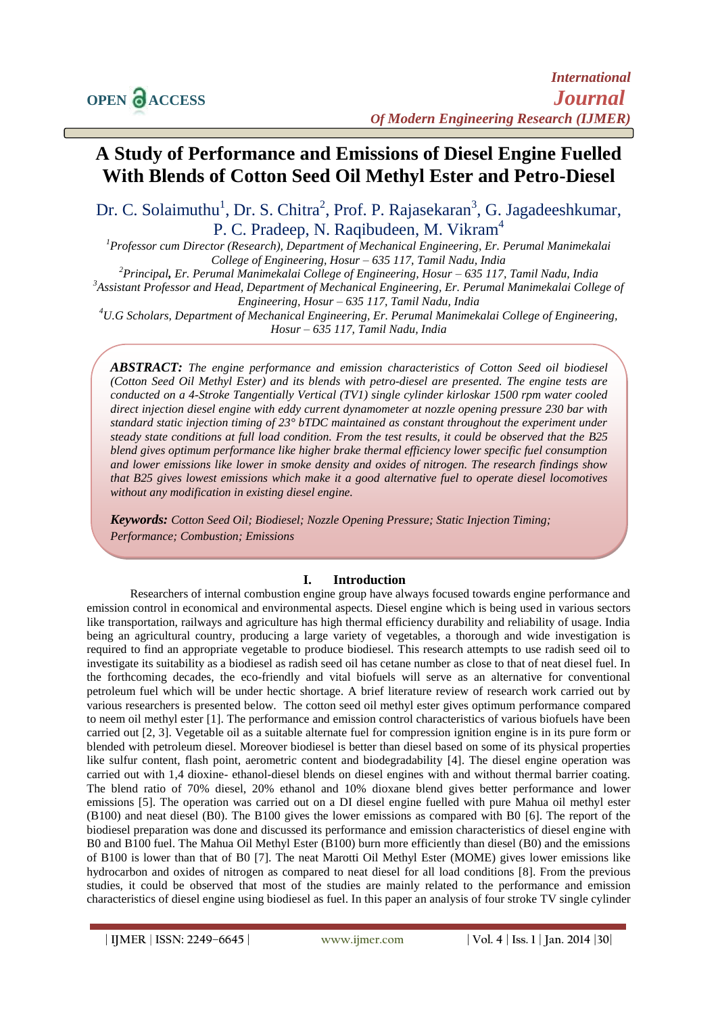# **A Study of Performance and Emissions of Diesel Engine Fuelled With Blends of Cotton Seed Oil Methyl Ester and Petro-Diesel**

Dr. C. Solaimuthu<sup>1</sup>, Dr. S. Chitra<sup>2</sup>, Prof. P. Rajasekaran<sup>3</sup>, G. Jagadeeshkumar, P. C. Pradeep, N. Raqibudeen, M. Vikram<sup>4</sup>

*<sup>1</sup>Professor cum Director (Research), Department of Mechanical Engineering, Er. Perumal Manimekalai College of Engineering, Hosur – 635 117, Tamil Nadu, India <sup>2</sup>Principal, Er. Perumal Manimekalai College of Engineering, Hosur – 635 117, Tamil Nadu, India <sup>3</sup>Assistant Professor and Head, Department of Mechanical Engineering, Er. Perumal Manimekalai College of Engineering, Hosur – 635 117, Tamil Nadu, India <sup>4</sup>U.G Scholars, Department of Mechanical Engineering, Er. Perumal Manimekalai College of Engineering, Hosur – 635 117, Tamil Nadu, India*

*ABSTRACT: The engine performance and emission characteristics of Cotton Seed oil biodiesel (Cotton Seed Oil Methyl Ester) and its blends with petro-diesel are presented. The engine tests are conducted on a 4-Stroke Tangentially Vertical (TV1) single cylinder kirloskar 1500 rpm water cooled direct injection diesel engine with eddy current dynamometer at nozzle opening pressure 230 bar with standard static injection timing of 23° bTDC maintained as constant throughout the experiment under steady state conditions at full load condition. From the test results, it could be observed that the B25 blend gives optimum performance like higher brake thermal efficiency lower specific fuel consumption and lower emissions like lower in smoke density and oxides of nitrogen. The research findings show that B25 gives lowest emissions which make it a good alternative fuel to operate diesel locomotives without any modification in existing diesel engine.* 

*Keywords: Cotton Seed Oil; Biodiesel; Nozzle Opening Pressure; Static Injection Timing; Performance; Combustion; Emissions*

## **I. Introduction**

Researchers of internal combustion engine group have always focused towards engine performance and emission control in economical and environmental aspects. Diesel engine which is being used in various sectors like transportation, railways and agriculture has high thermal efficiency durability and reliability of usage. India being an agricultural country, producing a large variety of vegetables, a thorough and wide investigation is required to find an appropriate vegetable to produce biodiesel. This research attempts to use radish seed oil to investigate its suitability as a biodiesel as radish seed oil has cetane number as close to that of neat diesel fuel. In the forthcoming decades, the eco-friendly and vital biofuels will serve as an alternative for conventional petroleum fuel which will be under hectic shortage. A brief literature review of research work carried out by various researchers is presented below. The cotton seed oil methyl ester gives optimum performance compared to neem oil methyl ester [1]. The performance and emission control characteristics of various biofuels have been carried out [2, 3]. Vegetable oil as a suitable alternate fuel for compression ignition engine is in its pure form or blended with petroleum diesel. Moreover biodiesel is better than diesel based on some of its physical properties like sulfur content, flash point, aerometric content and biodegradability [4]. The diesel engine operation was carried out with 1,4 dioxine- ethanol-diesel blends on diesel engines with and without thermal barrier coating. The blend ratio of 70% diesel, 20% ethanol and 10% dioxane blend gives better performance and lower emissions [5]. The operation was carried out on a DI diesel engine fuelled with pure Mahua oil methyl ester (B100) and neat diesel (B0). The B100 gives the lower emissions as compared with B0 [6]. The report of the biodiesel preparation was done and discussed its performance and emission characteristics of diesel engine with B0 and B100 fuel. The Mahua Oil Methyl Ester (B100) burn more efficiently than diesel (B0) and the emissions of B100 is lower than that of B0 [7]. The neat Marotti Oil Methyl Ester (MOME) gives lower emissions like hydrocarbon and oxides of nitrogen as compared to neat diesel for all load conditions [8]. From the previous studies, it could be observed that most of the studies are mainly related to the performance and emission characteristics of diesel engine using biodiesel as fuel. In this paper an analysis of four stroke TV single cylinder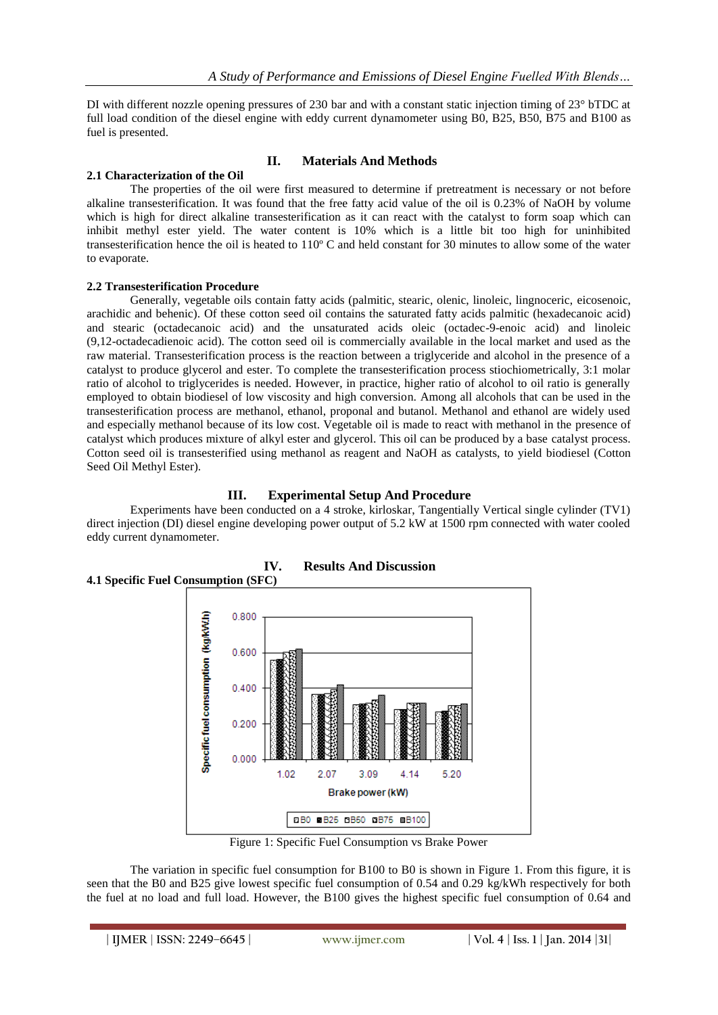DI with different nozzle opening pressures of 230 bar and with a constant static injection timing of 23<sup>°</sup> bTDC at full load condition of the diesel engine with eddy current dynamometer using B0, B25, B50, B75 and B100 as fuel is presented.

## **II. Materials And Methods**

## **2.1 Characterization of the Oil**

The properties of the oil were first measured to determine if pretreatment is necessary or not before alkaline transesterification. It was found that the free fatty acid value of the oil is 0.23% of NaOH by volume which is high for direct alkaline transesterification as it can react with the catalyst to form soap which can inhibit methyl ester yield. The water content is 10% which is a little bit too high for uninhibited transesterification hence the oil is heated to 110º C and held constant for 30 minutes to allow some of the water to evaporate.

## **2.2 Transesterification Procedure**

Generally, vegetable oils contain fatty acids (palmitic, stearic, olenic, linoleic, lingnoceric, eicosenoic, arachidic and behenic). Of these cotton seed oil contains the saturated fatty acids palmitic (hexadecanoic acid) and stearic (octadecanoic acid) and the unsaturated acids oleic (octadec-9-enoic acid) and linoleic (9,12-octadecadienoic acid). The cotton seed oil is commercially available in the local market and used as the raw material. Transesterification process is the reaction between a triglyceride and alcohol in the presence of a catalyst to produce glycerol and ester. To complete the transesterification process stiochiometrically, 3:1 molar ratio of alcohol to triglycerides is needed. However, in practice, higher ratio of alcohol to oil ratio is generally employed to obtain biodiesel of low viscosity and high conversion. Among all alcohols that can be used in the transesterification process are methanol, ethanol, proponal and butanol. Methanol and ethanol are widely used and especially methanol because of its low cost. Vegetable oil is made to react with methanol in the presence of catalyst which produces mixture of alkyl ester and glycerol. This oil can be produced by a base catalyst process. Cotton seed oil is transesterified using methanol as reagent and NaOH as catalysts, to yield biodiesel (Cotton Seed Oil Methyl Ester).

## **III. Experimental Setup And Procedure**

Experiments have been conducted on a 4 stroke, kirloskar, Tangentially Vertical single cylinder (TV1) direct injection (DI) diesel engine developing power output of 5.2 kW at 1500 rpm connected with water cooled eddy current dynamometer.



## **IV. Results And Discussion 4.1 Specific Fuel Consumption (SFC)**

Figure 1: Specific Fuel Consumption vs Brake Power

The variation in specific fuel consumption for B100 to B0 is shown in Figure 1. From this figure, it is seen that the B0 and B25 give lowest specific fuel consumption of 0.54 and 0.29 kg/kWh respectively for both the fuel at no load and full load. However, the B100 gives the highest specific fuel consumption of 0.64 and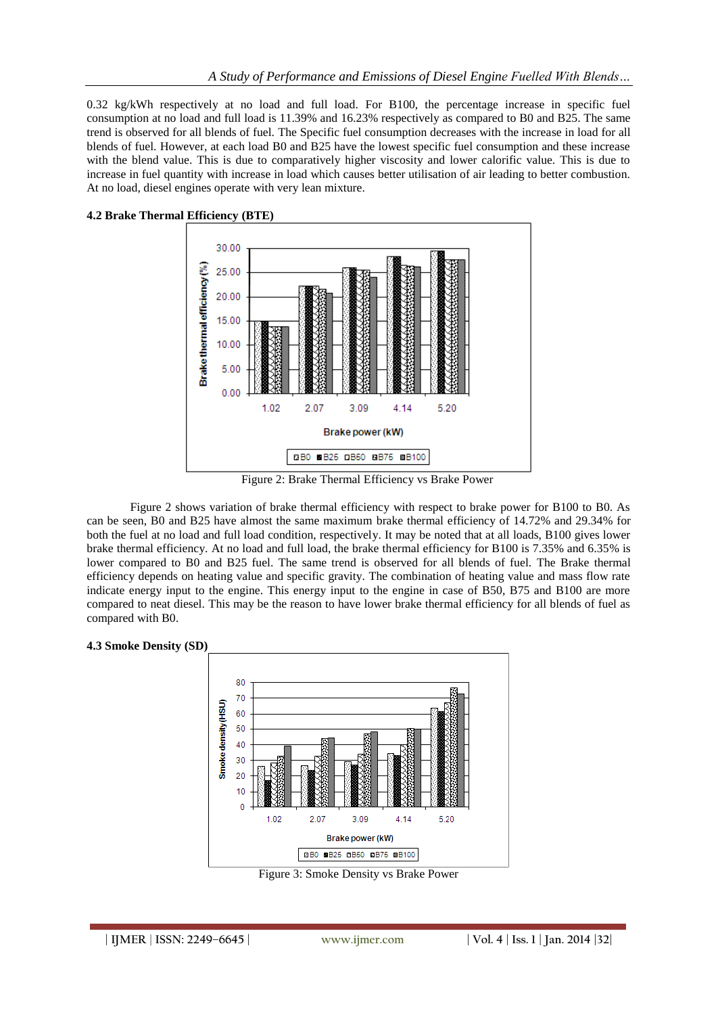0.32 kg/kWh respectively at no load and full load. For B100, the percentage increase in specific fuel consumption at no load and full load is 11.39% and 16.23% respectively as compared to B0 and B25. The same trend is observed for all blends of fuel. The Specific fuel consumption decreases with the increase in load for all blends of fuel. However, at each load B0 and B25 have the lowest specific fuel consumption and these increase with the blend value. This is due to comparatively higher viscosity and lower calorific value. This is due to increase in fuel quantity with increase in load which causes better utilisation of air leading to better combustion. At no load, diesel engines operate with very lean mixture.



**4.2 Brake Thermal Efficiency (BTE)**

Figure 2: Brake Thermal Efficiency vs Brake Power

Figure 2 shows variation of brake thermal efficiency with respect to brake power for B100 to B0. As can be seen, B0 and B25 have almost the same maximum brake thermal efficiency of 14.72% and 29.34% for both the fuel at no load and full load condition, respectively. It may be noted that at all loads, B100 gives lower brake thermal efficiency. At no load and full load, the brake thermal efficiency for B100 is 7.35% and 6.35% is lower compared to B0 and B25 fuel. The same trend is observed for all blends of fuel. The Brake thermal efficiency depends on heating value and specific gravity. The combination of heating value and mass flow rate indicate energy input to the engine. This energy input to the engine in case of B50, B75 and B100 are more compared to neat diesel. This may be the reason to have lower brake thermal efficiency for all blends of fuel as compared with B0.





Figure 3: Smoke Density vs Brake Power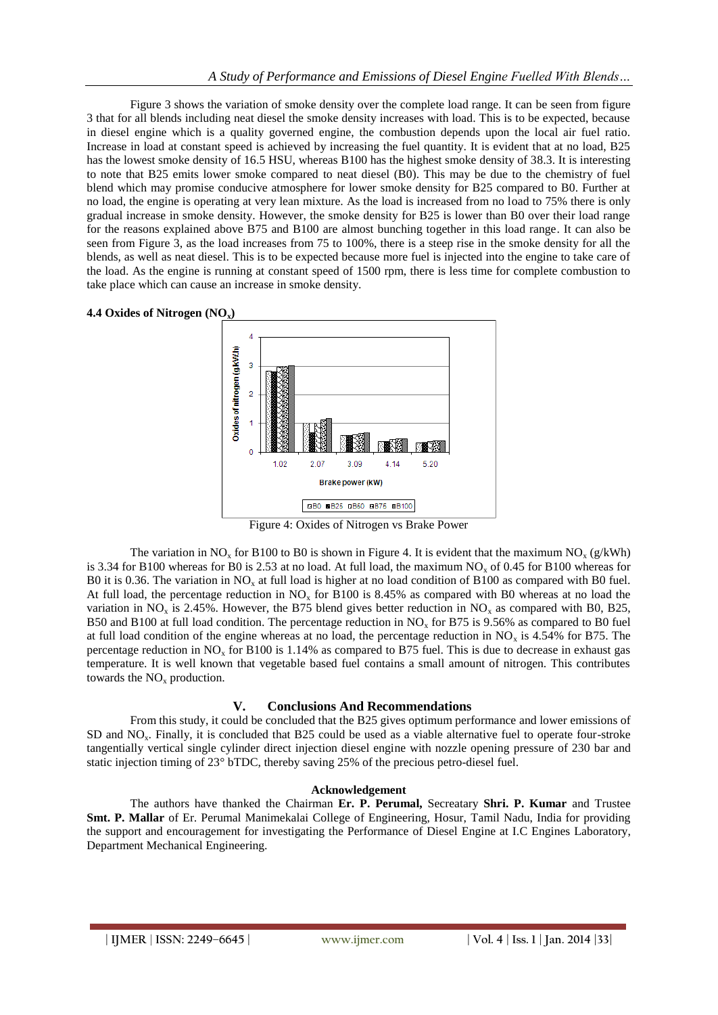Figure 3 shows the variation of smoke density over the complete load range. It can be seen from figure 3 that for all blends including neat diesel the smoke density increases with load. This is to be expected, because in diesel engine which is a quality governed engine, the combustion depends upon the local air fuel ratio. Increase in load at constant speed is achieved by increasing the fuel quantity. It is evident that at no load, B25 has the lowest smoke density of 16.5 HSU, whereas B100 has the highest smoke density of 38.3. It is interesting to note that B25 emits lower smoke compared to neat diesel (B0). This may be due to the chemistry of fuel blend which may promise conducive atmosphere for lower smoke density for B25 compared to B0. Further at no load, the engine is operating at very lean mixture. As the load is increased from no load to 75% there is only gradual increase in smoke density. However, the smoke density for B25 is lower than B0 over their load range for the reasons explained above B75 and B100 are almost bunching together in this load range. It can also be seen from Figure 3, as the load increases from 75 to 100%, there is a steep rise in the smoke density for all the blends, as well as neat diesel. This is to be expected because more fuel is injected into the engine to take care of the load. As the engine is running at constant speed of 1500 rpm, there is less time for complete combustion to take place which can cause an increase in smoke density.



Figure 4: Oxides of Nitrogen vs Brake Power

The variation in NO<sub>x</sub> for B100 to B0 is shown in Figure 4. It is evident that the maximum NO<sub>x</sub> (g/kWh) is 3.34 for B100 whereas for B0 is 2.53 at no load. At full load, the maximum  $NO<sub>x</sub>$  of 0.45 for B100 whereas for B0 it is 0.36. The variation in  $NO<sub>x</sub>$  at full load is higher at no load condition of B100 as compared with B0 fuel. At full load, the percentage reduction in  $NO<sub>x</sub>$  for B100 is 8.45% as compared with B0 whereas at no load the variation in NO<sub>x</sub> is 2.45%. However, the B75 blend gives better reduction in NO<sub>x</sub> as compared with B0, B25, B50 and B100 at full load condition. The percentage reduction in  $NO<sub>x</sub>$  for B75 is 9.56% as compared to B0 fuel at full load condition of the engine whereas at no load, the percentage reduction in  $NO_x$  is 4.54% for B75. The percentage reduction in  $NO<sub>x</sub>$  for B100 is 1.14% as compared to B75 fuel. This is due to decrease in exhaust gas temperature. It is well known that vegetable based fuel contains a small amount of nitrogen. This contributes towards the  $NO<sub>x</sub>$  production.

## **V. Conclusions And Recommendations**

From this study, it could be concluded that the B25 gives optimum performance and lower emissions of SD and NOx. Finally, it is concluded that B25 could be used as a viable alternative fuel to operate four-stroke tangentially vertical single cylinder direct injection diesel engine with nozzle opening pressure of 230 bar and static injection timing of 23° bTDC, thereby saving 25% of the precious petro-diesel fuel.

## **Acknowledgement**

The authors have thanked the Chairman **Er. P. Perumal,** Secreatary **Shri. P. Kumar** and Trustee **Smt. P. Mallar** of Er. Perumal Manimekalai College of Engineering, Hosur, Tamil Nadu, India for providing the support and encouragement for investigating the Performance of Diesel Engine at I.C Engines Laboratory, Department Mechanical Engineering.